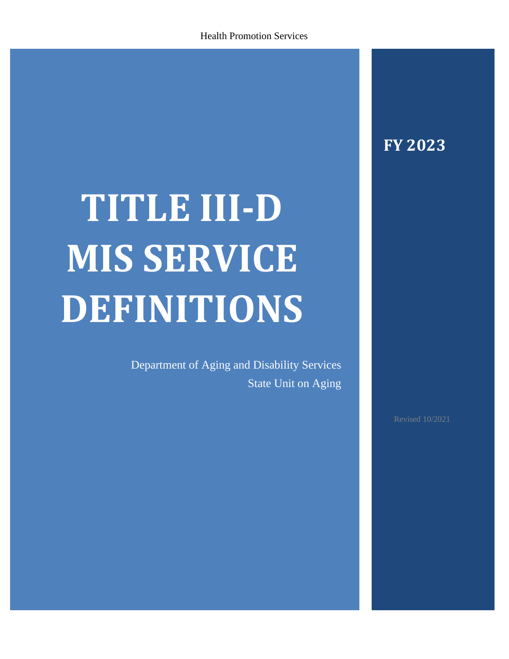# **FY 2023**

# **TITLE III-D MIS SERVICE DEFINITIONS**

Department of Aging and Disability Services State Unit on Aging

Revised 10/2021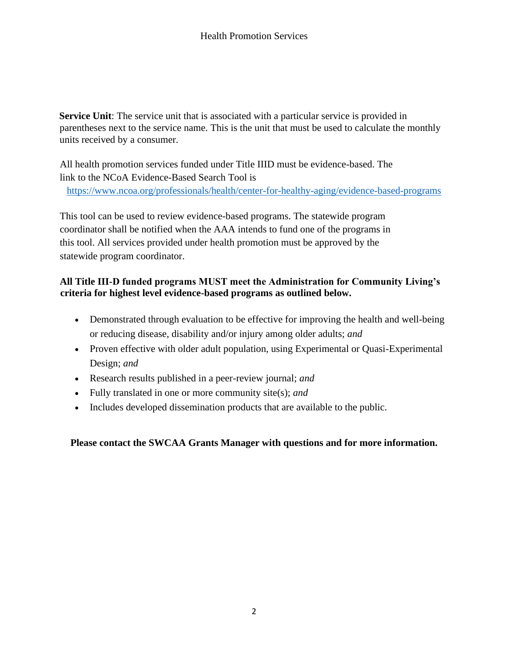**Service Unit**: The service unit that is associated with a particular service is provided in parentheses next to the service name. This is the unit that must be used to calculate the monthly units received by a consumer.

All health promotion services funded under Title IIID must be evidence-based. The link to the NCoA Evidence-Based Search Tool is <https://www.ncoa.org/professionals/health/center-for-healthy-aging/evidence-based-programs>

This tool can be used to review evidence-based programs. The statewide program coordinator shall be notified when the AAA intends to fund one of the programs in this tool. All services provided under health promotion must be approved by the statewide program coordinator.

# **All Title III-D funded programs MUST meet the Administration for Community Living's criteria for highest level evidence-based programs as outlined below.**

- Demonstrated through evaluation to be effective for improving the health and well-being or reducing disease, disability and/or injury among older adults; *and*
- Proven effective with older adult population, using Experimental or Quasi-Experimental Design; *and*
- Research results published in a peer-review journal; *and*
- Fully translated in one or more community site(s); *and*
- Includes developed dissemination products that are available to the public.

**Please contact the SWCAA Grants Manager with questions and for more information.**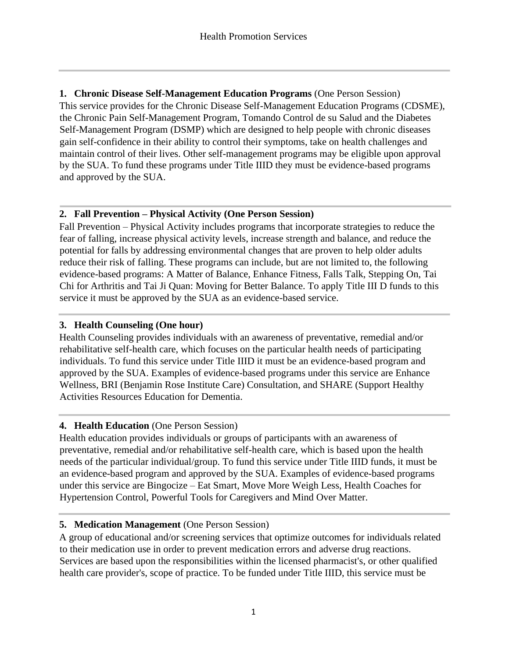**1. Chronic Disease Self-Management Education Programs** (One Person Session) This service provides for the Chronic Disease Self-Management Education Programs (CDSME), the Chronic Pain Self-Management Program, Tomando Control de su Salud and the Diabetes Self-Management Program (DSMP) which are designed to help people with chronic diseases gain self-confidence in their ability to control their symptoms, take on health challenges and maintain control of their lives. Other self-management programs may be eligible upon approval by the SUA. To fund these programs under Title IIID they must be evidence-based programs and approved by the SUA.

# **2. Fall Prevention – Physical Activity (One Person Session)**

Fall Prevention – Physical Activity includes programs that incorporate strategies to reduce the fear of falling, increase physical activity levels, increase strength and balance, and reduce the potential for falls by addressing environmental changes that are proven to help older adults reduce their risk of falling. These programs can include, but are not limited to, the following evidence-based programs: A Matter of Balance, Enhance Fitness, Falls Talk, Stepping On, Tai Chi for Arthritis and Tai Ji Quan: Moving for Better Balance. To apply Title III D funds to this service it must be approved by the SUA as an evidence-based service.

#### **3. Health Counseling (One hour)**

Health Counseling provides individuals with an awareness of preventative, remedial and/or rehabilitative self-health care, which focuses on the particular health needs of participating individuals. To fund this service under Title IIID it must be an evidence-based program and approved by the SUA. Examples of evidence-based programs under this service are Enhance Wellness, BRI (Benjamin Rose Institute Care) Consultation, and SHARE (Support Healthy Activities Resources Education for Dementia.

# **4. Health Education** (One Person Session)

Health education provides individuals or groups of participants with an awareness of preventative, remedial and/or rehabilitative self-health care, which is based upon the health needs of the particular individual/group. To fund this service under Title IIID funds, it must be an evidence-based program and approved by the SUA. Examples of evidence-based programs under this service are Bingocize – Eat Smart, Move More Weigh Less, Health Coaches for Hypertension Control, Powerful Tools for Caregivers and Mind Over Matter.

# **5. Medication Management** (One Person Session)

A group of educational and/or screening services that optimize outcomes for individuals related to their medication use in order to prevent medication errors and adverse drug reactions. Services are based upon the responsibilities within the licensed pharmacist's, or other qualified health care provider's, scope of practice. To be funded under Title IIID, this service must be